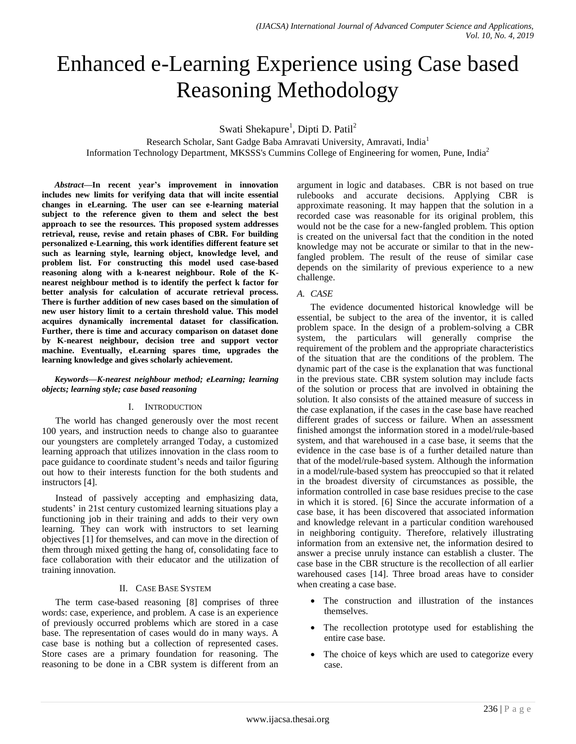# Enhanced e-Learning Experience using Case based Reasoning Methodology

Swati Shekapure<sup>1</sup>, Dipti D. Patil<sup>2</sup>

Research Scholar, Sant Gadge Baba Amravati University, Amravati, India<sup>1</sup> Information Technology Department, MKSSS's Cummins College of Engineering for women, Pune, India<sup>2</sup>

*Abstract***—In recent year's improvement in innovation includes new limits for verifying data that will incite essential changes in eLearning. The user can see e-learning material subject to the reference given to them and select the best approach to see the resources. This proposed system addresses retrieval, reuse, revise and retain phases of CBR. For building personalized e-Learning, this work identifies different feature set such as learning style, learning object, knowledge level, and problem list. For constructing this model used case-based reasoning along with a k-nearest neighbour. Role of the Knearest neighbour method is to identify the perfect k factor for better analysis for calculation of accurate retrieval process. There is further addition of new cases based on the simulation of new user history limit to a certain threshold value. This model acquires dynamically incremental dataset for classification. Further, there is time and accuracy comparison on dataset done by K-nearest neighbour, decision tree and support vector machine. Eventually, eLearning spares time, upgrades the learning knowledge and gives scholarly achievement.**

### *Keywords—K-nearest neighbour method; eLearning; learning objects; learning style; case based reasoning*

### I. INTRODUCTION

The world has changed generously over the most recent 100 years, and instruction needs to change also to guarantee our youngsters are completely arranged Today, a customized learning approach that utilizes innovation in the class room to pace guidance to coordinate student's needs and tailor figuring out how to their interests function for the both students and instructors [4].

Instead of passively accepting and emphasizing data, students' in 21st century customized learning situations play a functioning job in their training and adds to their very own learning. They can work with instructors to set learning objectives [1] for themselves, and can move in the direction of them through mixed getting the hang of, consolidating face to face collaboration with their educator and the utilization of training innovation.

### II. CASE BASE SYSTEM

The term case-based reasoning [8] comprises of three words: case, experience, and problem. A case is an experience of previously occurred problems which are stored in a case base. The representation of cases would do in many ways. A case base is nothing but a collection of represented cases. Store cases are a primary foundation for reasoning. The reasoning to be done in a CBR system is different from an argument in logic and databases. CBR is not based on true rulebooks and accurate decisions. Applying CBR is approximate reasoning. It may happen that the solution in a recorded case was reasonable for its original problem, this would not be the case for a new-fangled problem. This option is created on the universal fact that the condition in the noted knowledge may not be accurate or similar to that in the newfangled problem. The result of the reuse of similar case depends on the similarity of previous experience to a new challenge.

### *A. CASE*

The evidence documented historical knowledge will be essential, be subject to the area of the inventor, it is called problem space. In the design of a problem-solving a CBR system, the particulars will generally comprise the requirement of the problem and the appropriate characteristics of the situation that are the conditions of the problem. The dynamic part of the case is the explanation that was functional in the previous state. CBR system solution may include facts of the solution or process that are involved in obtaining the solution. It also consists of the attained measure of success in the case explanation, if the cases in the case base have reached different grades of success or failure. When an assessment finished amongst the information stored in a model/rule-based system, and that warehoused in a case base, it seems that the evidence in the case base is of a further detailed nature than that of the model/rule-based system. Although the information in a model/rule-based system has preoccupied so that it related in the broadest diversity of circumstances as possible, the information controlled in case base residues precise to the case in which it is stored. [6] Since the accurate information of a case base, it has been discovered that associated information and knowledge relevant in a particular condition warehoused in neighboring contiguity. Therefore, relatively illustrating information from an extensive net, the information desired to answer a precise unruly instance can establish a cluster. The case base in the CBR structure is the recollection of all earlier warehoused cases [14]. Three broad areas have to consider when creating a case base.

- The construction and illustration of the instances themselves.
- The recollection prototype used for establishing the entire case base.
- The choice of keys which are used to categorize every case.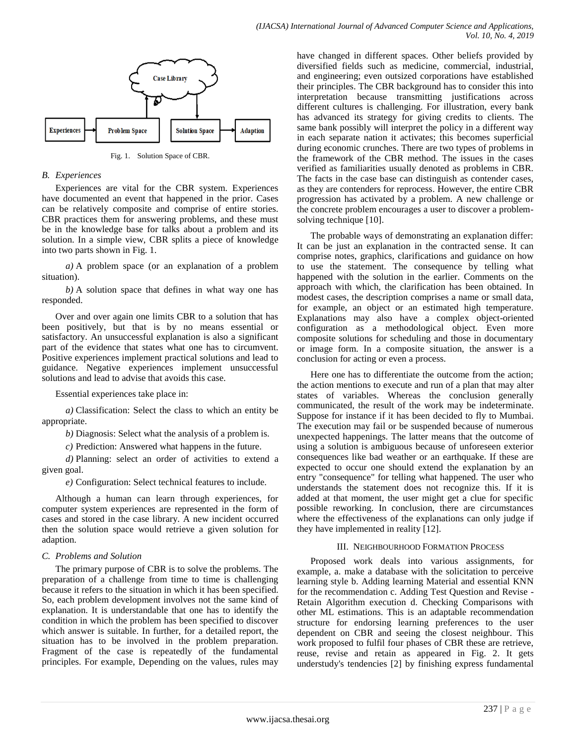

Fig. 1. Solution Space of CBR.

### *B. Experiences*

Experiences are vital for the CBR system. Experiences have documented an event that happened in the prior. Cases can be relatively composite and comprise of entire stories. CBR practices them for answering problems, and these must be in the knowledge base for talks about a problem and its solution. In a simple view, CBR splits a piece of knowledge into two parts shown in Fig. 1.

*a)* A problem space (or an explanation of a problem situation).

*b)* A solution space that defines in what way one has responded.

Over and over again one limits CBR to a solution that has been positively, but that is by no means essential or satisfactory. An unsuccessful explanation is also a significant part of the evidence that states what one has to circumvent. Positive experiences implement practical solutions and lead to guidance. Negative experiences implement unsuccessful solutions and lead to advise that avoids this case.

Essential experiences take place in:

*a)* Classification: Select the class to which an entity be appropriate.

*b)* Diagnosis: Select what the analysis of a problem is.

*c)* Prediction: Answered what happens in the future.

*d)* Planning: select an order of activities to extend a given goal.

*e)* Configuration: Select technical features to include.

Although a human can learn through experiences, for computer system experiences are represented in the form of cases and stored in the case library. A new incident occurred then the solution space would retrieve a given solution for adaption.

### *C. Problems and Solution*

The primary purpose of CBR is to solve the problems. The preparation of a challenge from time to time is challenging because it refers to the situation in which it has been specified. So, each problem development involves not the same kind of explanation. It is understandable that one has to identify the condition in which the problem has been specified to discover which answer is suitable. In further, for a detailed report, the situation has to be involved in the problem preparation. Fragment of the case is repeatedly of the fundamental principles. For example, Depending on the values, rules may have changed in different spaces. Other beliefs provided by diversified fields such as medicine, commercial, industrial, and engineering; even outsized corporations have established their principles. The CBR background has to consider this into interpretation because transmitting justifications across different cultures is challenging. For illustration, every bank has advanced its strategy for giving credits to clients. The same bank possibly will interpret the policy in a different way in each separate nation it activates; this becomes superficial during economic crunches. There are two types of problems in the framework of the CBR method. The issues in the cases verified as familiarities usually denoted as problems in CBR. The facts in the case base can distinguish as contender cases, as they are contenders for reprocess. However, the entire CBR progression has activated by a problem. A new challenge or the concrete problem encourages a user to discover a problemsolving technique [10].

The probable ways of demonstrating an explanation differ: It can be just an explanation in the contracted sense. It can comprise notes, graphics, clarifications and guidance on how to use the statement. The consequence by telling what happened with the solution in the earlier. Comments on the approach with which, the clarification has been obtained. In modest cases, the description comprises a name or small data, for example, an object or an estimated high temperature. Explanations may also have a complex object-oriented configuration as a methodological object. Even more composite solutions for scheduling and those in documentary or image form. In a composite situation, the answer is a conclusion for acting or even a process.

Here one has to differentiate the outcome from the action; the action mentions to execute and run of a plan that may alter states of variables. Whereas the conclusion generally communicated, the result of the work may be indeterminate. Suppose for instance if it has been decided to fly to Mumbai. The execution may fail or be suspended because of numerous unexpected happenings. The latter means that the outcome of using a solution is ambiguous because of unforeseen exterior consequences like bad weather or an earthquake. If these are expected to occur one should extend the explanation by an entry "consequence" for telling what happened. The user who understands the statement does not recognize this. If it is added at that moment, the user might get a clue for specific possible reworking. In conclusion, there are circumstances where the effectiveness of the explanations can only judge if they have implemented in reality [12].

### III. NEIGHBOURHOOD FORMATION PROCESS

Proposed work deals into various assignments, for example, a. make a database with the solicitation to perceive learning style b. Adding learning Material and essential KNN for the recommendation c. Adding Test Question and Revise - Retain Algorithm execution d. Checking Comparisons with other ML estimations. This is an adaptable recommendation structure for endorsing learning preferences to the user dependent on CBR and seeing the closest neighbour. This work proposed to fulfil four phases of CBR these are retrieve, reuse, revise and retain as appeared in Fig. 2. It gets understudy's tendencies [2] by finishing express fundamental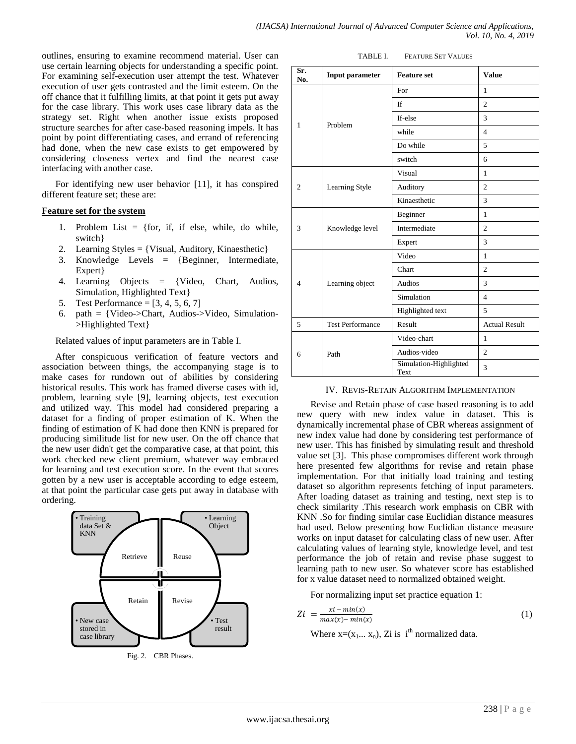outlines, ensuring to examine recommend material. User can use certain learning objects for understanding a specific point. For examining self-execution user attempt the test. Whatever execution of user gets contrasted and the limit esteem. On the off chance that it fulfilling limits, at that point it gets put away for the case library. This work uses case library data as the strategy set. Right when another issue exists proposed structure searches for after case-based reasoning impels. It has point by point differentiating cases, and errand of referencing had done, when the new case exists to get empowered by considering closeness vertex and find the nearest case interfacing with another case.

For identifying new user behavior [11], it has conspired different feature set; these are:

### **Feature set for the system**

- 1. Problem List  $=$  {for, if, if else, while, do while, switch}
- 2. Learning Styles = {Visual, Auditory, Kinaesthetic}
- 3. Knowledge Levels = {Beginner, Intermediate, Expert }
- 4. Learning Objects = {Video, Chart, Audios, Simulation, Highlighted Text}
- 5. Test Performance = [3, 4, 5, 6, 7]
- 6. path = {Video->Chart, Audios->Video, Simulation- >Highlighted Text}

Related values of input parameters are in Table I.

After conspicuous verification of feature vectors and association between things, the accompanying stage is to make cases for rundown out of abilities by considering historical results. This work has framed diverse cases with id, problem, learning style [9], learning objects, test execution and utilized way. This model had considered preparing a dataset for a finding of proper estimation of K. When the finding of estimation of K had done then KNN is prepared for producing similitude list for new user. On the off chance that the new user didn't get the comparative case, at that point, this work checked new client premium, whatever way embraced for learning and test execution score. In the event that scores gotten by a new user is acceptable according to edge esteem, at that point the particular case gets put away in database with ordering.



Fig. 2. CBR Phases.

| Sr.<br>No.     | Input parameter         | <b>Feature set</b>             | <b>Value</b>         |
|----------------|-------------------------|--------------------------------|----------------------|
|                | Problem                 | For                            | $\mathbf{1}$         |
|                |                         | <b>If</b>                      | $\overline{2}$       |
| 1              |                         | If-else                        | 3                    |
|                |                         | while                          | $\overline{4}$       |
|                |                         | Do while                       | 5                    |
|                |                         | switch                         | 6                    |
|                | Learning Style          | Visual                         | $\mathbf{1}$         |
| $\overline{2}$ |                         | Auditory                       | $\mathfrak{2}$       |
|                |                         | Kinaesthetic                   | 3                    |
| 3              | Knowledge level         | Beginner                       | $\mathbf{1}$         |
|                |                         | Intermediate                   | $\overline{c}$       |
|                |                         | Expert                         | 3                    |
| $\overline{4}$ | Learning object         | Video                          | $\mathbf{1}$         |
|                |                         | Chart                          | $\overline{c}$       |
|                |                         | Audios                         | 3                    |
|                |                         | Simulation                     | $\overline{4}$       |
|                |                         | Highlighted text               | 5                    |
| 5              | <b>Test Performance</b> | Result                         | <b>Actual Result</b> |
|                | Path                    | Video-chart                    | $\mathbf{1}$         |
| 6              |                         | Audios-video                   | $\overline{c}$       |
|                |                         | Simulation-Highlighted<br>Text | 3                    |

|  |  |  | IV. REVIS-RETAIN ALGORITHM IMPLEMENTATION |
|--|--|--|-------------------------------------------|
|--|--|--|-------------------------------------------|

Revise and Retain phase of case based reasoning is to add new query with new index value in dataset. This is dynamically incremental phase of CBR whereas assignment of new index value had done by considering test performance of new user. This has finished by simulating result and threshold value set [3]. This phase compromises different work through here presented few algorithms for revise and retain phase implementation. For that initially load training and testing dataset so algorithm represents fetching of input parameters. After loading dataset as training and testing, next step is to check similarity .This research work emphasis on CBR with KNN .So for finding similar case Euclidian distance measures had used. Below presenting how Euclidian distance measure works on input dataset for calculating class of new user. After calculating values of learning style, knowledge level, and test performance the job of retain and revise phase suggest to learning path to new user. So whatever score has established for x value dataset need to normalized obtained weight.

For normalizing input set practice equation 1:

$$
Zi = \frac{xi - min(x)}{max(x) - min(x)}\tag{1}
$$

Where  $x=(x_1...x_n)$ , Zi is i<sup>th</sup> normalized data.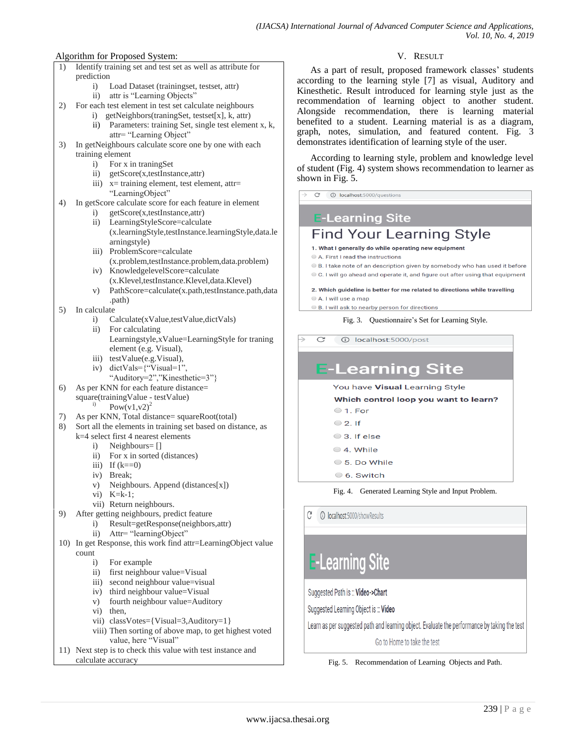### Algorithm for Proposed System:

- 1) Identify training set and test set as well as attribute for prediction i) Load Dataset (trainingset, testset, attr) ii) attr is "Learning Objects" 2) For each test element in test set calculate neighbours i) getNeighbors(traningSet, testset[x], k, attr) ii) Parameters: training Set, single test element x, k, attr= "Learning Object"
	- 3) In getNeighbours calculate score one by one with each training element
		- i) For x in traningSet
		- ii) getScore(x,testInstance,attr)
		- iii)  $x=$  training element, test element, attr= "LearningObject"
	- 4) In getScore calculate score for each feature in element
		- i) getScore(x,testInstance,attr) ii) LearningStyleScore=calculate
		- (x.learningStyle,testInstance.learningStyle,data.le arningstyle)
		- iii) ProblemScore=calculate (x.problem,testInstance.problem,data.problem)
		- iv) KnowledgelevelScore=calculate (x.Klevel,testInstance.Klevel,data.Klevel)
		- v) PathScore=calculate(x.path,testInstance.path,data .path)
	- 5) In calculate
		- i) Calculate(xValue,testValue,dictVals)
		- ii) For calculating Learningstyle,xValue=LearningStyle for traning element (e.g. Visual),
		- iii) testValue(e.g.Visual),
		- iv) dictVals={"Visual=1", "Auditory=2","Kinesthetic=3"}
	- 6) As per KNN for each feature distance= square(trainingValue - testValue)

Pow(v1,v2)<sup>2</sup>

- 7) As per KNN, Total distance= squareRoot(total)
- Sort all the elements in training set based on distance, as k=4 select first 4 nearest elements
	- i) Neighbours= []
	- ii) For x in sorted (distances)
	- iii) If  $(k==0)$
	- iv) Break;
	- v) Neighbours. Append (distances[x])
	- vi) K=k-1;
	- vii) Return neighbours.
- 9) After getting neighbours, predict feature
	- i) Result=getResponse(neighbors,attr)
		- ii) Attr= "learningObject"
- 10) In get Response, this work find attr=LearningObject value count
	- i) For example
	- ii) first neighbour value=Visual
	- iii) second neighbour value=visual
	- iv) third neighbour value=Visual
	- v) fourth neighbour value=Auditory
	- vi) then,
	- vii) classVotes={Visual=3,Auditory=1}
	- viii) Then sorting of above map, to get highest voted value, here "Visual"
- 11) Next step is to check this value with test instance and calculate accuracy

### V. RESULT

As a part of result, proposed framework classes' students according to the learning style [7] as visual, Auditory and Kinesthetic. Result introduced for learning style just as the recommendation of learning object to another student. Alongside recommendation, there is learning material benefited to a student. Learning material is as a diagram, graph, notes, simulation, and featured content. Fig. 3 demonstrates identification of learning style of the user.

According to learning style, problem and knowledge level of student (Fig. 4) system shows recommendation to learner as shown in Fig. 5.

### **E-Learning Site**

## **Find Your Learning Style**

- 1. What I generally do while operating new equipment
- A. First I read the instructions
- B. I take note of an description given by somebody who has used it before C. I will go ahead and operate it, and figure out after using that equipment

#### 2. Which guideline is better for me related to directions while travelling

- A. I will use a man
- B. I will ask to nearby person for directions

Fig. 3. Questionnaire's Set for Learning Style.

 $\overline{C}$ 10 localhost:5000/post

## **E-Learning Site**

### You have Visual Learning Style

### Which control loop you want to learn?

- $\circ$  1. For
- $\circ$  2. If
- 3. If else
- 4. While
- 5. Do While
- 6. Switch

Fig. 4. Generated Learning Style and Input Problem.

G 10 localhost:5000/showResults

# **E-Learning Site**

Suggested Path is :: Video->Chart

Suggested Learning Object is :: Video

Learn as per suggested path and learning object. Evaluate the performance by taking the test

Go to Home to take the test

Fig. 5. Recommendation of Learning Objects and Path.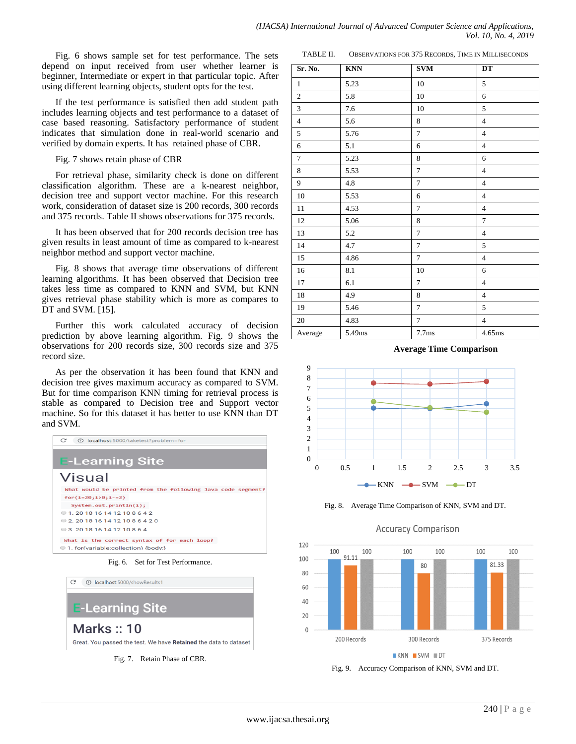Fig. 6 shows sample set for test performance. The sets depend on input received from user whether learner is beginner, Intermediate or expert in that particular topic. After using different learning objects, student opts for the test.

If the test performance is satisfied then add student path includes learning objects and test performance to a dataset of case based reasoning. Satisfactory performance of student indicates that simulation done in real-world scenario and verified by domain experts. It has retained phase of CBR.

Fig. 7 shows retain phase of CBR

For retrieval phase, similarity check is done on different classification algorithm. These are a k-nearest neighbor, decision tree and support vector machine. For this research work, consideration of dataset size is 200 records, 300 records and 375 records. Table II shows observations for 375 records.

It has been observed that for 200 records decision tree has given results in least amount of time as compared to k-nearest neighbor method and support vector machine.

Fig. 8 shows that average time observations of different learning algorithms. It has been observed that Decision tree takes less time as compared to KNN and SVM, but KNN gives retrieval phase stability which is more as compares to DT and SVM. [15].

Further this work calculated accuracy of decision prediction by above learning algorithm. Fig. 9 shows the observations for 200 records size, 300 records size and 375 record size.

As per the observation it has been found that KNN and decision tree gives maximum accuracy as compared to SVM. But for time comparison KNN timing for retrieval process is stable as compared to Decision tree and Support vector machine. So for this dataset it has better to use KNN than DT and SVM.

| C<br>10 localhost:5000/taketest?problem=for                 |
|-------------------------------------------------------------|
| <b>E-Learning Site</b>                                      |
| Visual                                                      |
| What would be printed from the following Java code segment? |
| $for(i=20;i>0;i-=2)$                                        |
| System.out.println(i);                                      |
| 0 1 20 18 16 14 12 10 8 6 4 2                               |
| 0 2 20 18 16 14 12 10 8 6 4 2 0                             |
| $\odot$ 3.201816141210864                                   |
| What is the correct syntax of for each loop?                |
| 1. for(variable:collection) {body:}                         |

Fig. 6. Set for Test Performance.



Fig. 7. Retain Phase of CBR.

| TABLE II.      |            | OBSERVATIONS FOR 375 RECORDS, TIME IN MILLISECONDS |                |  |  |
|----------------|------------|----------------------------------------------------|----------------|--|--|
| Sr. No.        | <b>KNN</b> | <b>SVM</b>                                         | DT             |  |  |
| 1              | 5.23       | 10                                                 | 5              |  |  |
| $\mathfrak{2}$ | 5.8        | 10                                                 | 6              |  |  |
| 3              | 7.6        | 10                                                 | 5              |  |  |
| $\overline{4}$ | 5.6        | 8                                                  | 4              |  |  |
| 5              | 5.76       | 7                                                  | $\overline{4}$ |  |  |
| 6              | 5.1        | 6                                                  | $\overline{4}$ |  |  |
| $\overline{7}$ | 5.23       | 8                                                  | 6              |  |  |
| 8              | 5.53       | 7                                                  | $\overline{4}$ |  |  |
| 9              | 4.8        | 7                                                  | 4              |  |  |
| 10             | 5.53       | 6                                                  | 4              |  |  |
| 11             | 4.53       | 7                                                  | 4              |  |  |
| 12             | 5.06       | 8                                                  | 7              |  |  |
| 13             | 5.2        | 7                                                  | $\overline{4}$ |  |  |
| 14             | 4.7        | 7                                                  | 5              |  |  |
| 15             | 4.86       | $\tau$                                             | $\overline{4}$ |  |  |
| 16             | 8.1        | 10                                                 | 6              |  |  |
| 17             | 6.1        | 7                                                  | $\overline{4}$ |  |  |

**Average Time Comparison** 



18 | 4.9 | 8 | 4 19 | 5.46 | 7 | 5 20 4.83 7 4 Average 5.49ms 7.7ms 4.65ms

Fig. 8. Average Time Comparison of KNN, SVM and DT.

**Accuracy Comparison** 



Fig. 9. Accuracy Comparison of KNN, SVM and DT.